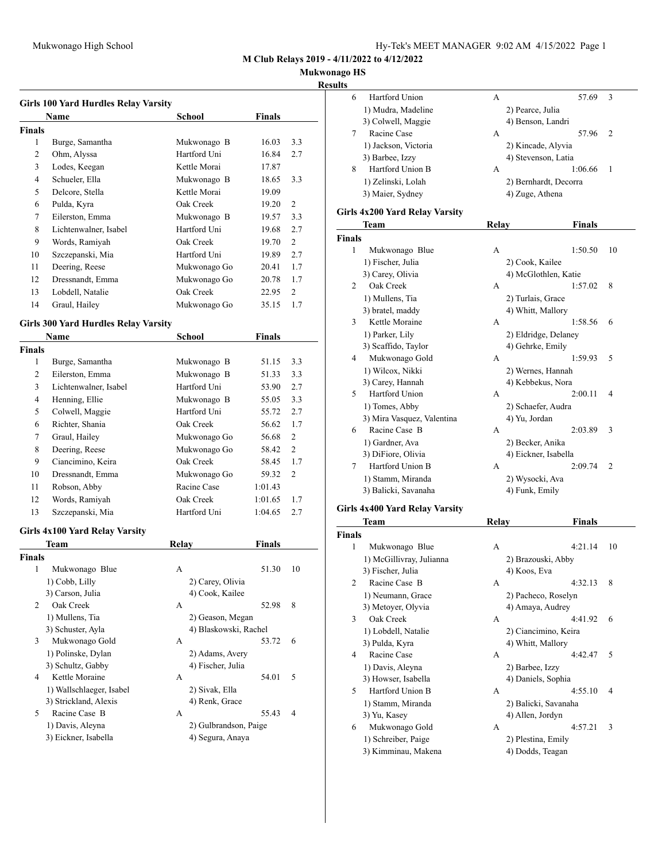### **Mukwonago HS**

**Results**

|               | <b>Girls 100 Yard Hurdles Relay Varsity</b><br><b>Name</b> | <b>School</b>         | <b>Finals</b> |                |
|---------------|------------------------------------------------------------|-----------------------|---------------|----------------|
| <b>Finals</b> |                                                            |                       |               |                |
| 1             | Burge, Samantha                                            | Mukwonago B           | 16.03         | 3.3            |
| 2             | Ohm, Alyssa                                                | Hartford Uni          | 16.84         | 2.7            |
| 3             | Lodes, Keegan                                              | Kettle Morai          | 17.87         |                |
| 4             | Schueler, Ella                                             | Mukwonago B           | 18.65         | 3.3            |
| 5             | Delcore, Stella                                            | Kettle Morai          | 19.09         |                |
| 6             | Pulda, Kyra                                                | Oak Creek             | 19.20         | 2              |
| 7             | Eilerston, Emma                                            | Mukwonago B           | 19.57         | 3.3            |
| 8             | Lichtenwalner, Isabel                                      | Hartford Uni          | 19.68         | 2.7            |
| 9             | Words, Ramiyah                                             | Oak Creek             | 19.70         | 2              |
| 10            | Szczepanski, Mia                                           | Hartford Uni          | 19.89         | 2.7            |
| 11            | Deering, Reese                                             | Mukwonago Go          | 20.41         | 1.7            |
| 12            | Dressnandt, Emma                                           | Mukwonago Go          | 20.78         | 1.7            |
| 13            | Lobdell, Natalie                                           | Oak Creek             | 22.95         | 2              |
| 14            | Graul, Hailey                                              | Mukwonago Go          | 35.15         | 1.7            |
|               |                                                            |                       |               |                |
|               | <b>Girls 300 Yard Hurdles Relay Varsity</b><br>Name        | School                | <b>Finals</b> |                |
| <b>Finals</b> |                                                            |                       |               |                |
| 1             | Burge, Samantha                                            | Mukwonago B           | 51.15         | 3.3            |
| 2             | Eilerston, Emma                                            | Mukwonago B           | 51.33         | 3.3            |
| 3             | Lichtenwalner, Isabel                                      | Hartford Uni          | 53.90         | 2.7            |
| 4             | Henning, Ellie                                             | Mukwonago B           | 55.05         | 3.3            |
| 5             | Colwell, Maggie                                            | Hartford Uni          | 55.72         | 2.7            |
| 6             | Richter, Shania                                            | Oak Creek             | 56.62         | 1.7            |
| 7             | Graul, Hailey                                              | Mukwonago Go          | 56.68         | $\overline{c}$ |
| 8             | Deering, Reese                                             | Mukwonago Go          | 58.42         | $\overline{2}$ |
| 9             | Ciancimino, Keira                                          | Oak Creek             | 58.45         | 1.7            |
| 10            | Dressnandt, Emma                                           | Mukwonago Go          | 59.32         | 2              |
| 11            | Robson, Abby                                               | Racine Case           | 1:01.43       |                |
| 12            | Words, Ramiyah                                             | Oak Creek             | 1:01.65       | 1.7            |
| 13            | Szczepanski, Mia                                           | Hartford Uni          | 1:04.65       | 2.7            |
|               | Girls 4x100 Yard Relay Varsity                             |                       |               |                |
|               | <b>Team</b>                                                | Relay                 | Finals        |                |
| <b>Finals</b> |                                                            |                       |               |                |
| 1             | Mukwonago Blue                                             | Α<br>2) Carey, Olivia | 51.30         | 10             |
|               | 1) Cobb, Lilly<br>3) Carson, Julia                         | 4) Cook, Kailee       |               |                |
| 2             | Oak Creek                                                  | А                     | 52.98         | 8              |
|               | 1) Mullens, Tia                                            | 2) Geason, Megan      |               |                |
|               | 3) Schuster, Ayla                                          | 4) Blaskowski, Rachel |               |                |
| 3             | Mukwonago Gold                                             | А                     | 53.72         | 6              |
|               | 1) Polinske, Dylan                                         | 2) Adams, Avery       |               |                |
|               | 3) Schultz, Gabby                                          | 4) Fischer, Julia     |               |                |
| 4             | Kettle Moraine                                             | A                     | 54.01         | 5              |
|               | 1) Wallschlaeger, Isabel                                   | 2) Sivak, Ella        |               |                |
|               | 3) Strickland, Alexis                                      | 4) Renk, Grace        |               |                |
| 5             | Racine Case B                                              | A                     | 55.43         | 4              |
|               | 1) Davis, Aleyna                                           | 2) Gulbrandson, Paige |               |                |
|               |                                                            | 4) Segura, Anaya      |               |                |
|               | 3) Eickner, Isabella                                       |                       |               |                |

| 6             | Hartford Union                 | А            | 57.69                 | 3              |
|---------------|--------------------------------|--------------|-----------------------|----------------|
|               | 1) Mudra, Madeline             |              | 2) Pearce, Julia      |                |
|               | 3) Colwell, Maggie             |              | 4) Benson, Landri     |                |
| 7             | Racine Case                    | A            | 57.96                 | $\overline{2}$ |
|               | 1) Jackson, Victoria           |              | 2) Kincade, Alyvia    |                |
|               | 3) Barbee, Izzy                |              | 4) Stevenson, Latia   |                |
| 8             | Hartford Union B               | А            | 1:06.66               | 1              |
|               | 1) Zelinski, Lolah             |              | 2) Bernhardt, Decorra |                |
|               | 3) Maier, Sydney               |              | 4) Zuge, Athena       |                |
|               | Girls 4x200 Yard Relay Varsity |              |                       |                |
|               | Team                           | <b>Relay</b> | <b>Finals</b>         |                |
| <b>Finals</b> |                                |              |                       |                |
| 1             | Mukwonago Blue                 | А            | 1:50.50               | 10             |
|               | 1) Fischer, Julia              |              | 2) Cook, Kailee       |                |
|               | 3) Carey, Olivia               |              | 4) McGlothlen, Katie  |                |
| 2             | Oak Creek                      | А            | 1:57.02               | 8              |
|               | 1) Mullens, Tia                |              | 2) Turlais, Grace     |                |
|               | 3) bratel, maddy               |              | 4) Whitt, Mallory     |                |
| 3             | Kettle Moraine                 | A            | 1:58.56               | 6              |
|               | 1) Parker, Lily                |              | 2) Eldridge, Delaney  |                |
|               | 3) Scaffido, Taylor            |              | 4) Gehrke, Emily      |                |
| 4             | Mukwonago Gold                 | A            | 1:59.93               | 5              |
|               | 1) Wilcox, Nikki               |              | 2) Wernes, Hannah     |                |
|               | 3) Carey, Hannah               |              | 4) Kebbekus, Nora     |                |
| 5             | <b>Hartford Union</b>          | A            | 2:00.11               | 4              |
|               | 1) Tomes, Abby                 |              | 2) Schaefer, Audra    |                |
|               | 3) Mira Vasquez, Valentina     |              | 4) Yu, Jordan         |                |
| 6             | Racine Case B                  | A            | 2:03.89               | 3              |
|               | 1) Gardner, Ava                |              | 2) Becker, Anika      |                |
|               | 3) DiFiore, Olivia             |              | 4) Eickner, Isabella  |                |
| 7             | Hartford Union B               | A            | 2:09.74               | 2              |
|               | 1) Stamm, Miranda              |              | 2) Wysocki, Ava       |                |
|               | 3) Balicki, Savanaha           |              | 4) Funk, Emily        |                |
|               | Girls 4x400 Yard Relay Varsity |              |                       |                |
|               | Team                           | Relay        | <b>Finals</b>         |                |
| <b>Finals</b> |                                |              |                       |                |
| 1             | Mukwonago Blue                 | А            | 4:21.14               | 10             |

| <b>Finals</b> |                          |   |                      |    |
|---------------|--------------------------|---|----------------------|----|
| 1             | Mukwonago Blue           | A | 4:21.14              | 10 |
|               | 1) McGillivray, Julianna |   | 2) Brazouski, Abby   |    |
|               | 3) Fischer, Julia        |   | 4) Koos, Eva         |    |
| 2             | Racine Case B            | A | 4:32.13              | 8  |
|               | 1) Neumann, Grace        |   | 2) Pacheco, Roselyn  |    |
|               | 3) Metover, Olyvia       |   | 4) Amaya, Audrey     |    |
| 3             | Oak Creek                | A | 4:41.92              | 6  |
|               | 1) Lobdell, Natalie      |   | 2) Ciancimino, Keira |    |
|               | 3) Pulda, Kyra           |   | 4) Whitt, Mallory    |    |
| 4             | Racine Case              | A | 4:42.47              | 5  |
|               | 1) Davis, Aleyna         |   | 2) Barbee, Izzy      |    |
|               | 3) Howser, Isabella      |   | 4) Daniels, Sophia   |    |
| 5             | Hartford Union B         | A | 4:55.10              | 4  |
|               | 1) Stamm, Miranda        |   | 2) Balicki, Savanaha |    |
|               | 3) Yu, Kasey             |   | 4) Allen, Jordyn     |    |
| 6             | Mukwonago Gold           | A | 4:57.21              | 3  |
|               | 1) Schreiber, Paige      |   | 2) Plestina, Emily   |    |
|               | 3) Kimminau, Makena      |   | 4) Dodds, Teagan     |    |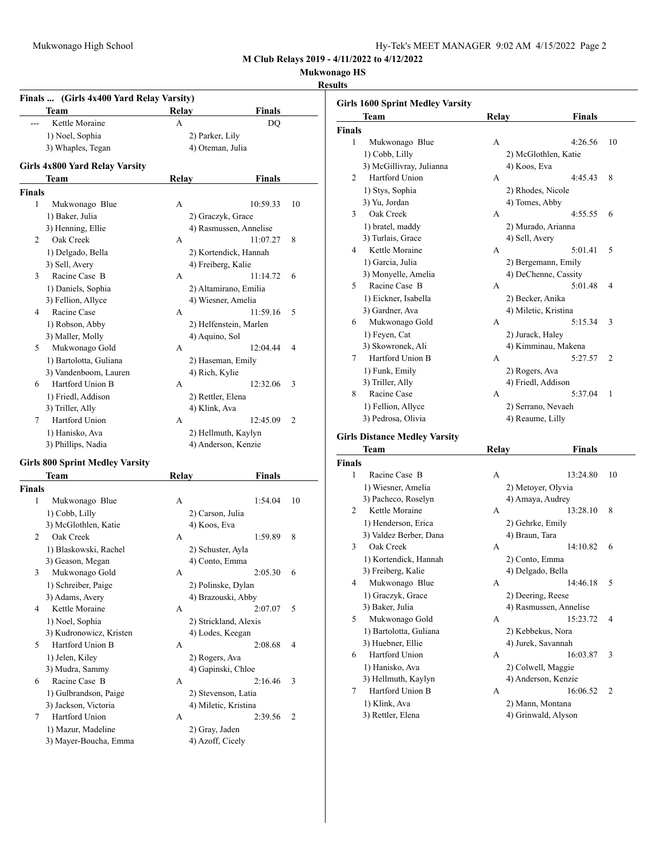**Mukwonago HS**

#### **Results**

|                | Finals  (Girls 4x400 Yard Relay Varsity) |       |                        |    |
|----------------|------------------------------------------|-------|------------------------|----|
|                | Team                                     | Relay | Finals                 |    |
|                | Kettle Moraine                           | A     | D <sub>O</sub>         |    |
|                | 1) Noel, Sophia                          |       | 2) Parker, Lily        |    |
|                | 3) Whaples, Tegan                        |       | 4) Oteman, Julia       |    |
|                | Girls 4x800 Yard Relay Varsity           |       |                        |    |
|                | Team                                     | Relay | Finals                 |    |
| <b>Finals</b>  |                                          |       |                        |    |
| 1              | Mukwonago Blue                           | A     | 10:59.33               | 10 |
|                | 1) Baker, Julia                          |       | 2) Graczyk, Grace      |    |
|                | 3) Henning, Ellie                        |       | 4) Rasmussen, Annelise |    |
| $\overline{2}$ | Oak Creek                                | A     | 11:07.27               | 8  |
|                | 1) Delgado, Bella                        |       | 2) Kortendick, Hannah  |    |
|                | 3) Sell, Avery                           |       | 4) Freiberg, Kalie     |    |
| 3              | Racine Case B                            | A     | 11:14.72               | 6  |
|                | 1) Daniels, Sophia                       |       | 2) Altamirano, Emilia  |    |
|                | 3) Fellion, Allyce                       |       | 4) Wiesner, Amelia     |    |
| 4              | Racine Case                              | A     | 11:59.16               | 5  |
|                | 1) Robson, Abby                          |       | 2) Helfenstein, Marlen |    |
|                | 3) Maller, Molly                         |       | 4) Aquino, Sol         |    |
| 5              | Mukwonago Gold                           | A     | 12:04.44               | 4  |
|                | 1) Bartolotta, Guliana                   |       | 2) Haseman, Emily      |    |
|                | 3) Vandenboom, Lauren                    |       | 4) Rich, Kylie         |    |
| 6              | Hartford Union B                         | A     | 12:32.06               | 3  |
|                | 1) Friedl, Addison                       |       | 2) Rettler, Elena      |    |
|                | 3) Triller, Ally                         |       | 4) Klink, Ava          |    |
| 7              | <b>Hartford Union</b>                    | A     | 12:45.09               | 2  |
|                | 1) Hanisko, Ava                          |       | 2) Hellmuth, Kaylyn    |    |
|                | 3) Phillips, Nadia                       |       | 4) Anderson, Kenzie    |    |

#### **Girls 800 Sprint Medley Varsity**

|               | Team                    | Relay                 | <b>Finals</b>             |
|---------------|-------------------------|-----------------------|---------------------------|
| <b>Finals</b> |                         |                       |                           |
| 1             | Mukwonago Blue          | A                     | 1:54.04<br>10             |
|               | 1) Cobb, Lilly          | 2) Carson, Julia      |                           |
|               | 3) McGlothlen, Katie    | 4) Koos, Eva          |                           |
| 2             | Oak Creek               | A                     | 8<br>1:59.89              |
|               | 1) Blaskowski, Rachel   | 2) Schuster, Ayla     |                           |
|               | 3) Geason, Megan        | 4) Conto, Emma        |                           |
| 3             | Mukwonago Gold          | A                     | 2:05.30<br>6              |
|               | 1) Schreiber, Paige     | 2) Polinske, Dylan    |                           |
|               | 3) Adams, Avery         | 4) Brazouski, Abby    |                           |
| 4             | Kettle Moraine          | A                     | 5<br>2:07.07              |
|               | 1) Noel, Sophia         | 2) Strickland, Alexis |                           |
|               | 3) Kudronowicz, Kristen | 4) Lodes, Keegan      |                           |
| 5             | Hartford Union B        | A                     | 2:08.68<br>$\overline{4}$ |
|               | 1) Jelen, Kiley         | 2) Rogers, Ava        |                           |
|               | 3) Mudra, Sammy         | 4) Gapinski, Chloe    |                           |
| 6             | Racine Case B           | A                     | 2:16.46<br>3              |
|               | 1) Gulbrandson, Paige   | 2) Stevenson, Latia   |                           |
|               | 3) Jackson, Victoria    | 4) Miletic, Kristina  |                           |
| 7             | Hartford Union          | A                     | 2:39.56<br>$\overline{c}$ |
|               | 1) Mazur, Madeline      | 2) Gray, Jaden        |                           |
|               | 3) Mayer-Boucha, Emma   | 4) Azoff, Cicely      |                           |

|                | <b>Girls 1600 Sprint Medley Varsity</b> |       |                      |                |
|----------------|-----------------------------------------|-------|----------------------|----------------|
|                | Team                                    | Relay | <b>Finals</b>        |                |
| <b>Finals</b>  |                                         |       |                      |                |
| 1              | Mukwonago Blue                          | A     | 4:26.56              | 10             |
|                | 1) Cobb, Lilly                          |       | 2) McGlothlen, Katie |                |
|                | 3) McGillivray, Julianna                |       | 4) Koos, Eva         |                |
| $\mathfrak{D}$ | <b>Hartford Union</b>                   | A     | 4:45.43              | 8              |
|                | 1) Stys, Sophia                         |       | 2) Rhodes, Nicole    |                |
|                | 3) Yu, Jordan                           |       | 4) Tomes, Abby       |                |
| 3              | Oak Creek                               | A     | 4:55.55              | 6              |
|                | 1) bratel, maddy                        |       | 2) Murado, Arianna   |                |
|                | 3) Turlais, Grace                       |       | 4) Sell, Avery       |                |
| 4              | Kettle Moraine                          | A     | 5:01.41              | 5              |
|                | 1) Garcia, Julia                        |       | 2) Bergemann, Emily  |                |
|                | 3) Monyelle, Amelia                     |       | 4) DeChenne, Cassity |                |
| 5              | Racine Case B                           | A     | 5:01.48              | 4              |
|                | 1) Eickner, Isabella                    |       | 2) Becker, Anika     |                |
|                | 3) Gardner, Ava                         |       | 4) Miletic, Kristina |                |
| 6              | Mukwonago Gold                          | A     | 5:15.34              | 3              |
|                | 1) Feyen, Cat                           |       | 2) Jurack, Haley     |                |
|                | 3) Skowronek, Ali                       |       | 4) Kimminau, Makena  |                |
| 7              | Hartford Union B                        | A     | 5:27.57              | $\overline{2}$ |
|                | 1) Funk, Emily                          |       | 2) Rogers, Ava       |                |
|                | 3) Triller, Ally                        |       | 4) Friedl, Addison   |                |
| 8              | Racine Case                             | A     | 5:37.04              | 1              |
|                | 1) Fellion, Allyce                      |       | 2) Serrano, Nevaeh   |                |
|                | 3) Pedrosa, Olivia                      |       | 4) Reaume, Lilly     |                |
|                |                                         |       |                      |                |

### **Girls Distance Medley Varsity**

|                | Team                   | Relay             | Finals                 |                |
|----------------|------------------------|-------------------|------------------------|----------------|
| <b>Finals</b>  |                        |                   |                        |                |
| 1              | Racine Case B          | A                 | 13:24.80               | 10             |
|                | 1) Wiesner, Amelia     |                   | 2) Metoyer, Olyvia     |                |
|                | 3) Pacheco, Roselyn    |                   | 4) Amaya, Audrey       |                |
| $\mathfrak{D}$ | Kettle Moraine         | A                 | 13:28.10               | 8              |
|                | 1) Henderson, Erica    | 2) Gehrke, Emily  |                        |                |
|                | 3) Valdez Berber, Dana | 4) Braun, Tara    |                        |                |
| 3              | Oak Creek              | A                 | 14:10.82               | 6              |
|                | 1) Kortendick, Hannah  | 2) Conto, Emma    |                        |                |
|                | 3) Freiberg, Kalie     | 4) Delgado, Bella |                        |                |
| 4              | Mukwonago Blue         | A                 | 14:46.18               | 5              |
|                | 1) Graczyk, Grace      | 2) Deering, Reese |                        |                |
|                | 3) Baker, Julia        |                   | 4) Rasmussen, Annelise |                |
| 5              | Mukwonago Gold         | A                 | 15:23.72               | 4              |
|                | 1) Bartolotta, Guliana |                   | 2) Kebbekus, Nora      |                |
|                | 3) Huebner, Ellie      |                   | 4) Jurek, Savannah     |                |
| 6              | Hartford Union         | A                 | 16:03.87               | 3              |
|                | 1) Hanisko, Ava        |                   | 2) Colwell, Maggie     |                |
|                | 3) Hellmuth, Kaylyn    |                   | 4) Anderson, Kenzie    |                |
| 7              | Hartford Union B       | A                 | 16:06.52               | $\overline{c}$ |
|                | 1) Klink, Ava          |                   | 2) Mann, Montana       |                |
|                | 3) Rettler, Elena      |                   | 4) Grinwald, Alyson    |                |
|                |                        |                   |                        |                |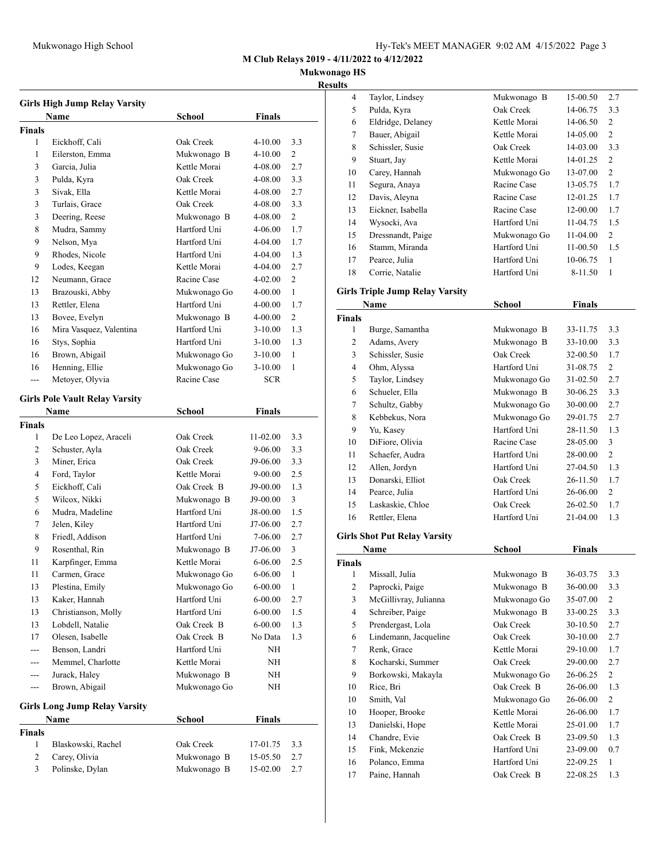**Mukwonago HS**

### **Results**

| <b>Girls High Jump Relay Varsity</b> |                                       |              |               |                |  |
|--------------------------------------|---------------------------------------|--------------|---------------|----------------|--|
|                                      | <b>Name</b>                           | School       | Finals        |                |  |
| <b>Finals</b>                        |                                       |              |               |                |  |
| 1                                    | Eickhoff, Cali                        | Oak Creek    | $4 - 10.00$   | 3.3            |  |
| 1                                    | Eilerston, Emma                       | Mukwonago B  | $4 - 10.00$   | 2              |  |
| 3                                    | Garcia, Julia                         | Kettle Morai | 4-08.00       | 2.7            |  |
| 3                                    | Pulda, Kyra                           | Oak Creek    | 4-08.00       | 3.3            |  |
| 3                                    | Sivak, Ella                           | Kettle Morai | 4-08.00       | 2.7            |  |
| 3                                    | Turlais, Grace                        | Oak Creek    | 4-08.00       | 3.3            |  |
| 3                                    | Deering, Reese                        | Mukwonago B  | 4-08.00       | $\overline{2}$ |  |
| 8                                    | Mudra, Sammy                          | Hartford Uni | 4-06.00       | 1.7            |  |
| 9                                    | Nelson, Mya                           | Hartford Uni | 4-04.00       | 1.7            |  |
| 9                                    | Rhodes, Nicole                        | Hartford Uni | 4-04.00       | 1.3            |  |
| 9                                    | Lodes, Keegan                         | Kettle Morai | 4-04.00       | 2.7            |  |
| 12                                   | Neumann, Grace                        | Racine Case  | 4-02.00       | 2              |  |
| 13                                   | Brazouski, Abby                       | Mukwonago Go | 4-00.00       | 1              |  |
| 13                                   | Rettler, Elena                        | Hartford Uni | 4-00.00       | 1.7            |  |
| 13                                   | Bovee, Evelyn                         | Mukwonago B  | 4-00.00       | 2              |  |
| 16                                   | Mira Vasquez, Valentina               | Hartford Uni | $3 - 10.00$   | 1.3            |  |
| 16                                   | Stys, Sophia                          | Hartford Uni | $3-10.00$     | 1.3            |  |
| 16                                   | Brown, Abigail                        | Mukwonago Go | $3-10.00$     | 1              |  |
| 16                                   | Henning, Ellie                        | Mukwonago Go | $3-10.00$     | 1              |  |
| ---                                  | Metoyer, Olyvia                       | Racine Case  | <b>SCR</b>    |                |  |
|                                      |                                       |              |               |                |  |
|                                      | <b>Girls Pole Vault Relay Varsity</b> |              |               |                |  |
|                                      | Name                                  | School       | Finals        |                |  |
| <b>Finals</b>                        |                                       |              |               |                |  |
| 1                                    | De Leo Lopez, Araceli                 | Oak Creek    | $11-02.00$    | 3.3            |  |
| 2                                    | Schuster, Ayla                        | Oak Creek    | 9-06.00       | 3.3            |  |
| 3                                    | Miner, Erica                          | Oak Creek    | J9-06.00      | 3.3            |  |
| 4                                    | Ford, Taylor                          | Kettle Morai | 9-00.00       | 2.5            |  |
| 5                                    | Eickhoff, Cali                        | Oak Creek B  | J9-00.00      | 1.3            |  |
| 5                                    | Wilcox, Nikki                         | Mukwonago B  | J9-00.00      | 3              |  |
| 6                                    | Mudra, Madeline                       | Hartford Uni | J8-00.00      | 1.5            |  |
| 7                                    | Jelen, Kiley                          | Hartford Uni | J7-06.00      | 2.7            |  |
| 8                                    | Friedl, Addison                       | Hartford Uni | 7-06.00       | 2.7            |  |
| 9                                    | Rosenthal, Rin                        | Mukwonago B  | J7-06.00      | 3              |  |
| 11                                   | Karpfinger, Emma                      | Kettle Morai | $6 - 06.00$   | 2.5            |  |
| 11                                   | Carmen, Grace                         | Mukwonago Go | 6-06.00       | 1              |  |
| 13                                   | Plestina, Emily                       | Mukwonago Go | $6 - 00.00$   | $\mathbf{1}$   |  |
| 13                                   | Kaker, Hannah                         | Hartford Uni | $6 - 00.00$   | 2.7            |  |
| 13                                   | Christianson, Molly                   | Hartford Uni | $6 - 00.00$   | 1.5            |  |
| 13                                   | Lobdell, Natalie                      | Oak Creek B  | $6 - 00.00$   | 1.3            |  |
| 17                                   | Olesen, Isabelle                      | Oak Creek B  | No Data       | 1.3            |  |
|                                      | Benson, Landri                        | Hartford Uni | NΗ            |                |  |
| ---                                  | Memmel, Charlotte                     | Kettle Morai | NH            |                |  |
| ---                                  | Jurack, Haley                         | Mukwonago B  | NH            |                |  |
| ---                                  | Brown, Abigail                        | Mukwonago Go | NH            |                |  |
|                                      |                                       |              |               |                |  |
|                                      | <b>Girls Long Jump Relay Varsity</b>  |              |               |                |  |
|                                      | Name                                  | School       | <b>Finals</b> |                |  |
| <b>Finals</b>                        |                                       |              |               |                |  |
| $\mathbf{1}$                         | Blaskowski, Rachel                    | Oak Creek    | 17-01.75      | 3.3            |  |
| 2                                    | Carey, Olivia                         | Mukwonago B  | 15-05.50      | 2.7            |  |
| 3                                    | Polinske, Dylan                       | Mukwonago B  | 15-02.00      | 2.7            |  |

| Taylor, Lindsey   | Mukwonago B  | 15-00.50 | 2.7            |
|-------------------|--------------|----------|----------------|
| Pulda, Kyra       | Oak Creek    | 14-06.75 | 3.3            |
| Eldridge, Delaney | Kettle Morai | 14-06.50 | 2              |
| Bauer, Abigail    | Kettle Morai | 14-05.00 | 2              |
| Schissler, Susie  | Oak Creek    | 14-03.00 | 3.3            |
| Stuart, Jay       | Kettle Morai | 14-01.25 | 2              |
| Carey, Hannah     | Mukwonago Go | 13-07.00 | $\overline{2}$ |
| Segura, Anaya     | Racine Case  | 13-05.75 | 1.7            |
| Davis, Aleyna     | Racine Case  | 12-01.25 | 1.7            |
| Eickner, Isabella | Racine Case  | 12-00.00 | 1.7            |
| Wysocki, Ava      | Hartford Uni | 11-04.75 | 1.5            |
| Dressnandt, Paige | Mukwonago Go | 11-04.00 | $\overline{c}$ |
| Stamm, Miranda    | Hartford Uni | 11-00.50 | 1.5            |
| Pearce, Julia     | Hartford Uni | 10-06.75 | 1              |
| Corrie, Natalie   | Hartford Uni | 8-11.50  | 1              |
|                   |              |          |                |

### **Girls Triple Jump Relay Varsity**

|                | Name                             | School       | <b>Finals</b> |                |
|----------------|----------------------------------|--------------|---------------|----------------|
| <b>Finals</b>  |                                  |              |               |                |
| 1              | Burge, Samantha                  | Mukwonago B  | 33-11.75      | 3.3            |
| 2              | Adams, Avery                     | Mukwonago B  | 33-10.00      | 3.3            |
| 3              | Schissler, Susie                 | Oak Creek    | 32-00.50      | 1.7            |
| $\overline{4}$ | Ohm, Alyssa                      | Hartford Uni | 31-08.75      | $\overline{2}$ |
| 5              | Taylor, Lindsey                  | Mukwonago Go | 31-02.50      | 2.7            |
| 6              | Schueler, Ella                   | Mukwonago B  | 30-06.25      | 3.3            |
| 7              | Schultz, Gabby                   | Mukwonago Go | 30-00.00      | 2.7            |
| 8              | Kebbekus, Nora                   | Mukwonago Go | 29-01.75      | 2.7            |
| 9              | Yu, Kasey                        | Hartford Uni | 28-11.50      | 1.3            |
| 10             | DiFiore, Olivia                  | Racine Case  | 28-05.00      | 3              |
| 11             | Schaefer, Audra                  | Hartford Uni | 28-00.00      | $\overline{2}$ |
| 12             | Allen, Jordyn                    | Hartford Uni | 27-04.50      | 1.3            |
| 13             | Donarski, Elliot                 | Oak Creek    | 26-11.50      | 1.7            |
| 14             | Pearce, Julia                    | Hartford Uni | 26-06.00      | $\overline{c}$ |
| 15             | Laskaskie, Chloe                 | Oak Creek    | 26-02.50      | 1.7            |
| 16             | Rettler, Elena                   | Hartford Uni | 21-04.00      | 1.3            |
|                | $\alpha$ in $\alpha$ in $\alpha$ |              |               |                |

# **Girls Shot Put Relay Varsity Name** School **Finals Finals**

| 1              | Missall, Julia        | Mukwonago B  | 36-03.75 | 3.3 |
|----------------|-----------------------|--------------|----------|-----|
| $\overline{2}$ | Paprocki, Paige       | Mukwonago B  | 36-00.00 | 3.3 |
| 3              | McGillivray, Julianna | Mukwonago Go | 35-07.00 | 2   |
| $\overline{4}$ | Schreiber, Paige      | Mukwonago B  | 33-00.25 | 3.3 |
| 5              | Prendergast, Lola     | Oak Creek    | 30-10.50 | 2.7 |
| 6              | Lindemann, Jacqueline | Oak Creek    | 30-10.00 | 2.7 |
| 7              | Renk, Grace           | Kettle Morai | 29-10.00 | 1.7 |
| 8              | Kocharski, Summer     | Oak Creek    | 29-00.00 | 2.7 |
| 9              | Borkowski, Makayla    | Mukwonago Go | 26-06.25 | 2   |
| 10             | Rice, Bri             | Oak Creek B  | 26-06.00 | 1.3 |
| 10             | Smith, Val            | Mukwonago Go | 26-06.00 | 2   |
| 10             | Hooper, Brooke        | Kettle Morai | 26-06.00 | 1.7 |
| 13             | Danielski, Hope       | Kettle Morai | 25-01.00 | 1.7 |
| 14             | Chandre, Evie         | Oak Creek B  | 23-09.50 | 1.3 |
| 15             | Fink, Mckenzie        | Hartford Uni | 23-09.00 | 0.7 |
| 16             | Polanco, Emma         | Hartford Uni | 22-09.25 | 1   |
| 17             | Paine, Hannah         | Oak Creek B  | 22-08.25 | 1.3 |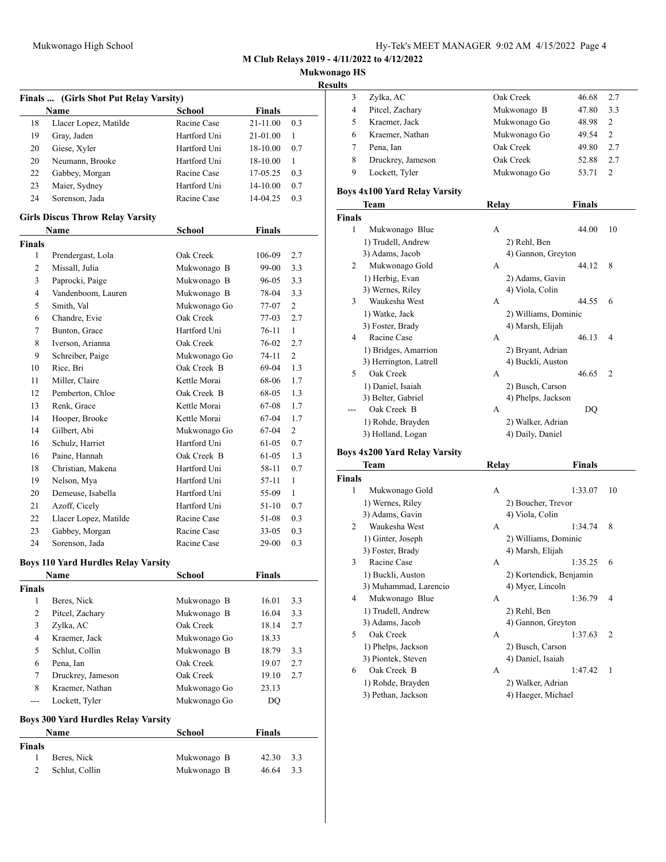| Hy-Tek's MEET MANAGER 9:02 AM 4/15/2022 Page 4 |  |  |  |
|------------------------------------------------|--|--|--|
|------------------------------------------------|--|--|--|

### **Mukwonago HS**

| sesuits: |
|----------|
|          |

| Finals  (Girls Shot Put Relay Varsity) |                                                 |                           |               |              |
|----------------------------------------|-------------------------------------------------|---------------------------|---------------|--------------|
|                                        | Name                                            | <b>School</b>             | <b>Finals</b> |              |
| 18                                     | Llacer Lopez, Matilde                           | Racine Case               | 21-11.00      | 0.3          |
| 19                                     | Gray, Jaden                                     | Hartford Uni              | 21-01.00      | 1            |
| 20                                     | Giese, Xyler                                    | Hartford Uni              | 18-10.00      | 0.7          |
| 20                                     | Neumann, Brooke                                 | Hartford Uni              | 18-10.00      | $\mathbf{1}$ |
| 22                                     | Gabbey, Morgan                                  | Racine Case               | 17-05.25      | 0.3          |
| 23                                     | Maier, Sydney                                   | Hartford Uni              | 14-10.00      | 0.7          |
| 24                                     | Sorenson, Jada                                  | Racine Case               | 14-04.25      | 0.3          |
|                                        |                                                 |                           |               |              |
|                                        | <b>Girls Discus Throw Relay Varsity</b><br>Name | <b>School</b>             | <b>Finals</b> |              |
| <b>Finals</b>                          |                                                 |                           |               |              |
| 1                                      | Prendergast, Lola                               | Oak Creek                 | 106-09        | 2.7          |
| 2                                      | Missall, Julia                                  | Mukwonago B               | 99-00         | 3.3          |
| 3                                      | Paprocki, Paige                                 | Mukwonago B               | 96-05         | 3.3          |
| 4                                      | Vandenboom, Lauren                              | Mukwonago B               | 78-04         | 3.3          |
| 5                                      | Smith, Val                                      |                           |               |              |
| 6                                      | Chandre, Evie                                   | Mukwonago Go<br>Oak Creek | 77-07         | 2<br>2.7     |
|                                        |                                                 | Hartford Uni              | 77-03         | $\mathbf{1}$ |
| 7                                      | Bunton, Grace                                   |                           | 76-11         |              |
| 8                                      | Iverson, Arianna                                | Oak Creek                 | 76-02         | 2.7          |
| 9                                      | Schreiber, Paige                                | Mukwonago Go              | 74-11         | 2            |
| 10                                     | Rice, Bri                                       | Oak Creek B               | 69-04         | 1.3          |
| 11                                     | Miller, Claire                                  | Kettle Morai              | 68-06         | 1.7          |
| 12                                     | Pemberton, Chloe                                | Oak Creek B               | 68-05         | 1.3          |
| 13                                     | Renk, Grace                                     | Kettle Morai              | 67-08         | $1.7\,$      |
| 14                                     | Hooper, Brooke                                  | Kettle Morai              | 67-04         | 1.7          |
| 14                                     | Gilbert, Abi                                    | Mukwonago Go              | 67-04         | 2            |
| 16                                     | Schulz, Harriet                                 | Hartford Uni              | 61-05         | 0.7          |
| 16                                     | Paine, Hannah                                   | Oak Creek B               | 61-05         | 1.3          |
| 18                                     | Christian, Makena                               | Hartford Uni              | 58-11         | 0.7          |
| 19                                     | Nelson, Mya                                     | Hartford Uni              | 57-11         | 1            |
| 20                                     | Demeuse, Isabella                               | Hartford Uni              | 55-09         | 1            |
| 21                                     | Azoff, Cicely                                   | Hartford Uni              | $51-10$       | 0.7          |
| 22                                     | Llacer Lopez, Matilde                           | Racine Case               | 51-08         | 0.3          |
| 23                                     | Gabbey, Morgan                                  | Racine Case               | $33 - 05$     | 0.3          |
| 24                                     | Sorenson, Jada                                  | Racine Case               | 29-00         | 0.3          |
|                                        | <b>Boys 110 Yard Hurdles Relay Varsity</b>      |                           |               |              |
|                                        | Name                                            | School                    | Finals        |              |
| Finals                                 |                                                 |                           |               |              |
| 1                                      | Beres, Nick                                     | Mukwonago B               | 16.01         | 3.3          |
| $\overline{c}$                         | Pitcel, Zachary                                 | Mukwonago B               | 16.04         | 3.3          |
| 3                                      | Zylka, AC                                       | Oak Creek                 | 18.14         | 2.7          |
| $\overline{\mathbf{4}}$                | Kraemer, Jack                                   | Mukwonago Go              | 18.33         |              |
| 5                                      | Schlut, Collin                                  | Mukwonago B               | 18.79         | 3.3          |
| 6                                      | Pena, Ian                                       | Oak Creek                 | 19.07         | 2.7          |
| 7                                      | Druckrey, Jameson                               | Oak Creek                 | 19.10         | 2.7          |
| 8                                      | Kraemer, Nathan                                 | Mukwonago Go              | 23.13         |              |
| ---                                    | Lockett, Tyler                                  | Mukwonago Go              | DQ            |              |
|                                        |                                                 |                           |               |              |
|                                        | <b>Boys 300 Yard Hurdles Relay Varsity</b>      |                           |               |              |
|                                        | Name                                            | <b>School</b>             | <b>Finals</b> |              |
| Finals                                 |                                                 |                           |               |              |
| 1                                      | Beres, Nick                                     | Mukwonago B               | 42.30         | 3.3          |
| 2                                      | Schlut, Collin                                  | Mukwonago B               | 46.64         | 3.3          |
|                                        |                                                 |                           |               |              |

|   | Zylka, AC         | Oak Creek    | 46.68 | 2.7           |
|---|-------------------|--------------|-------|---------------|
| 4 | Pitcel, Zachary   | Mukwonago B  | 47.80 | 3.3           |
|   | Kraemer, Jack     | Mukwonago Go | 48.98 | 2             |
| 6 | Kraemer, Nathan   | Mukwonago Go | 49.54 | 2             |
|   | Pena, Ian         | Oak Creek    | 49.80 | 2.7           |
| 8 | Druckrey, Jameson | Oak Creek    | 52.88 | 2.7           |
|   | Lockett, Tyler    | Mukwonago Go | 53.71 | $\mathcal{P}$ |
|   |                   |              |       |               |

### **Boys 4x100 Yard Relay Varsity**

|               | Team                   | Relay                | <b>Finals</b>           |
|---------------|------------------------|----------------------|-------------------------|
| <b>Finals</b> |                        |                      |                         |
| 1             | Mukwonago Blue         | A                    | 44.00<br>10             |
|               | 1) Trudell, Andrew     | 2) Rehl, Ben         |                         |
|               | 3) Adams, Jacob        | 4) Gannon, Greyton   |                         |
| 2             | Mukwonago Gold         | A                    | 8<br>44.12              |
|               | 1) Herbig, Evan        | 2) Adams, Gavin      |                         |
|               | 3) Wernes, Riley       | 4) Viola, Colin      |                         |
| 3             | Waukesha West          | A                    | 44.55<br>6              |
|               | 1) Watke, Jack         | 2) Williams, Dominic |                         |
|               | 3) Foster, Brady       | 4) Marsh, Elijah     |                         |
| 4             | Racine Case            | A                    | 46.13<br>$\overline{4}$ |
|               | 1) Bridges, Amarrion   | 2) Bryant, Adrian    |                         |
|               | 3) Herrington, Latrell | 4) Buckli, Auston    |                         |
| 5             | Oak Creek              | A                    | 46.65<br>$\overline{2}$ |
|               | 1) Daniel, Isaiah      | 2) Busch, Carson     |                         |
|               | 3) Belter, Gabriel     | 4) Phelps, Jackson   |                         |
|               | Oak Creek B            | A                    | DQ                      |
|               | 1) Rohde, Brayden      | 2) Walker, Adrian    |                         |
|               | 3) Holland, Logan      | 4) Daily, Daniel     |                         |

# **Boys 4x200 Yard Relay Varsity**

|               | Team                  | Relay                | <b>Finals</b>             |
|---------------|-----------------------|----------------------|---------------------------|
| <b>Finals</b> |                       |                      |                           |
| 1             | Mukwonago Gold        | A                    | 1:33.07<br>10             |
|               | 1) Wernes, Riley      | 2) Boucher, Trevor   |                           |
|               | 3) Adams, Gavin       | 4) Viola, Colin      |                           |
| 2             | Waukesha West         | A                    | 8<br>1:34.74              |
|               | 1) Ginter, Joseph     | 2) Williams, Dominic |                           |
|               | 3) Foster, Brady      | 4) Marsh, Elijah     |                           |
| 3             | Racine Case           | A                    | 1:35.25<br>6              |
|               | 1) Buckli, Auston     |                      | 2) Kortendick, Benjamin   |
|               | 3) Muhammad, Larencio | 4) Myer, Lincoln     |                           |
| 4             | Mukwonago Blue        | A                    | 1:36.79<br>4              |
|               | 1) Trudell, Andrew    | 2) Rehl, Ben         |                           |
|               | 3) Adams, Jacob       | 4) Gannon, Greyton   |                           |
| 5             | Oak Creek             | A                    | 1:37.63<br>$\overline{2}$ |
|               | 1) Phelps, Jackson    | 2) Busch, Carson     |                           |
|               | 3) Piontek, Steven    | 4) Daniel, Isaiah    |                           |
| 6             | Oak Creek B           | A                    | 1:47.42<br>$\mathbf{1}$   |
|               | 1) Rohde, Brayden     | 2) Walker, Adrian    |                           |
|               | 3) Pethan, Jackson    | 4) Haeger, Michael   |                           |
|               |                       |                      |                           |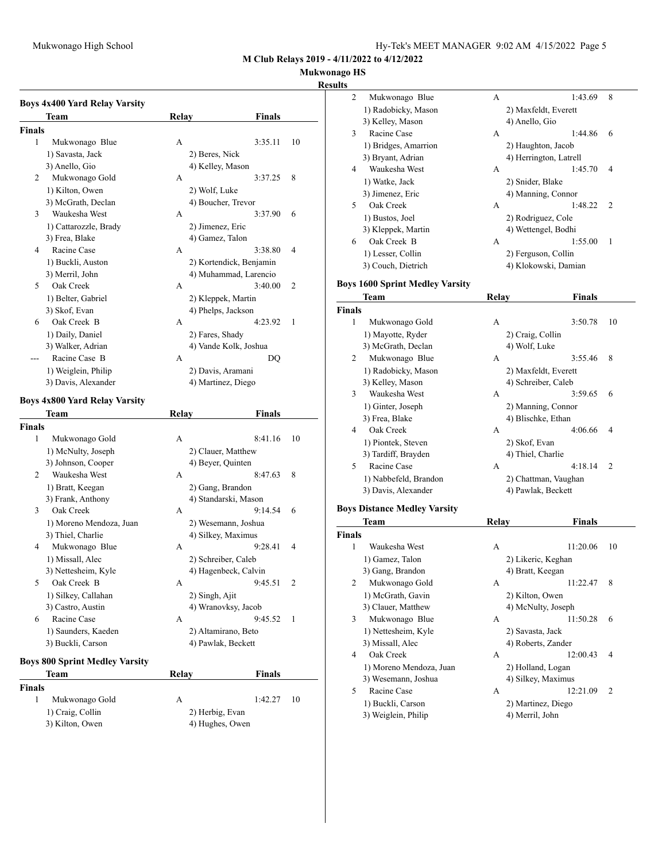# **Mukwonago HS**

### **Results**

|               | <b>Boys 4x400 Yard Relay Varsity</b>  |                     |                         |
|---------------|---------------------------------------|---------------------|-------------------------|
|               | Team                                  | Relay               | Finals                  |
| Finals        |                                       |                     |                         |
| 1             | Mukwonago Blue                        | А                   | 3:35.11<br>10           |
|               | 1) Savasta, Jack                      | 2) Beres, Nick      |                         |
|               | 3) Anello, Gio                        | 4) Kelley, Mason    |                         |
| 2             | Mukwonago Gold                        | А                   | 3:37.25<br>8            |
|               | 1) Kilton, Owen                       | 2) Wolf, Luke       |                         |
|               | 3) McGrath, Declan                    | 4) Boucher, Trevor  |                         |
| 3             | Waukesha West                         | А                   | 3:37.90<br>6            |
|               | 1) Cattarozzle, Brady                 | 2) Jimenez, Eric    |                         |
|               | 3) Frea, Blake                        | 4) Gamez, Talon     |                         |
| 4             | Racine Case                           | А                   | 3:38.80<br>4            |
|               | 1) Buckli, Auston                     |                     | 2) Kortendick, Benjamin |
|               | 3) Merril, John                       |                     | 4) Muhammad, Larencio   |
| 5             | Oak Creek                             | А                   | 3:40.00<br>2            |
|               |                                       |                     |                         |
|               | 1) Belter, Gabriel                    | 2) Kleppek, Martin  |                         |
|               | 3) Skof, Evan                         | 4) Phelps, Jackson  |                         |
| 6             | Oak Creek B                           | А                   | 4:23.92<br>1            |
|               | 1) Daily, Daniel                      | 2) Fares, Shady     |                         |
|               | 3) Walker, Adrian                     |                     | 4) Vande Kolk, Joshua   |
|               | Racine Case B                         | А                   | DQ                      |
|               | 1) Weiglein, Philip                   | 2) Davis, Aramani   |                         |
|               | 3) Davis, Alexander                   | 4) Martinez, Diego  |                         |
|               | <b>Boys 4x800 Yard Relay Varsity</b>  |                     |                         |
|               | Team                                  | Relay               | Finals                  |
| <b>Finals</b> |                                       |                     |                         |
| 1             | Mukwonago Gold                        | A                   | 8:41.16<br>10           |
|               | 1) McNulty, Joseph                    | 2) Clauer, Matthew  |                         |
|               | 3) Johnson, Cooper                    | 4) Beyer, Quinten   |                         |
| 2             | Waukesha West                         | А                   | 8:47.63<br>8            |
|               | 1) Bratt, Keegan                      | 2) Gang, Brandon    |                         |
|               | 3) Frank, Anthony                     |                     | 4) Standarski, Mason    |
| 3             | Oak Creek                             | А                   | 9:14.54<br>6            |
|               | 1) Moreno Mendoza, Juan               |                     | 2) Wesemann, Joshua     |
|               | 3) Thiel, Charlie                     | 4) Silkey, Maximus  |                         |
| 4             | Mukwonago Blue                        | А                   | 9:28.41<br>4            |
|               | 1) Missall, Alec                      | 2) Schreiber, Caleb |                         |
|               | 3) Nettesheim, Kyle                   |                     | 4) Hagenbeck, Calvin    |
| 5             | Oak Creek B                           | А                   | 9:45.51<br>2            |
|               |                                       |                     |                         |
|               | 1) Silkey, Callahan                   | 2) Singh, Ajit      |                         |
|               | 3) Castro, Austin                     |                     | 4) Wranovksy, Jacob     |
| 6             | Racine Case                           | А                   | 9:45.52<br>1            |
|               | 1) Saunders, Kaeden                   | 2) Altamirano, Beto |                         |
|               | 3) Buckli, Carson                     | 4) Pawlak, Beckett  |                         |
|               | <b>Boys 800 Sprint Medley Varsity</b> |                     |                         |
|               | Team                                  | Relay               | Finals                  |

| 2            | Mukwonago Blue       | А | 1:43.69                | 8             |
|--------------|----------------------|---|------------------------|---------------|
|              | 1) Radobicky, Mason  |   | 2) Maxfeldt, Everett   |               |
|              | 3) Kelley, Mason     |   | 4) Anello, Gio         |               |
| $\mathbf{3}$ | Racine Case          | A | 1:44.86                | 6             |
|              | 1) Bridges, Amarrion |   | 2) Haughton, Jacob     |               |
|              | 3) Bryant, Adrian    |   | 4) Herrington, Latrell |               |
| 4            | Waukesha West        | A | 1:45.70                | 4             |
|              | 1) Watke, Jack       |   | 2) Snider, Blake       |               |
|              | 3) Jimenez, Eric     |   | 4) Manning, Connor     |               |
| 5            | Oak Creek            | A | 1:48.22                | $\mathcal{D}$ |
|              | 1) Bustos, Joel      |   | 2) Rodriguez, Cole     |               |
|              | 3) Kleppek, Martin   |   | 4) Wettengel, Bodhi    |               |
| 6            | Oak Creek B          | A | 1:55.00                | 1             |
|              | 1) Lesser, Collin    |   | 2) Ferguson, Collin    |               |
|              | 3) Couch, Dietrich   |   | 4) Klokowski, Damian   |               |
|              |                      |   |                        |               |

# **Boys 1600 Sprint Medley Varsity**

|                | Team                  | Relay                | Finals               |                |
|----------------|-----------------------|----------------------|----------------------|----------------|
| <b>Finals</b>  |                       |                      |                      |                |
| 1              | Mukwonago Gold        | A                    | 3:50.78              | 10             |
|                | 1) Mayotte, Ryder     | 2) Craig, Collin     |                      |                |
|                | 3) McGrath, Declan    | 4) Wolf, Luke        |                      |                |
| $\overline{2}$ | Mukwonago Blue        | A                    | 3:55.46              | 8              |
|                | 1) Radobicky, Mason   | 2) Maxfeldt, Everett |                      |                |
|                | 3) Kelley, Mason      | 4) Schreiber, Caleb  |                      |                |
| 3              | Waukesha West         | A                    | 3:59.65              | 6              |
|                | 1) Ginter, Joseph     | 2) Manning, Connor   |                      |                |
|                | 3) Frea, Blake        | 4) Blischke, Ethan   |                      |                |
| $\overline{4}$ | Oak Creek             | A                    | 4:06.66              | 4              |
|                | 1) Piontek, Steven    | 2) Skof, Evan        |                      |                |
|                | 3) Tardiff, Brayden   | 4) Thiel, Charlie    |                      |                |
| 5              | Racine Case           | A                    | 4:18.14              | $\overline{2}$ |
|                | 1) Nabbefeld, Brandon |                      | 2) Chattman, Vaughan |                |
|                | 3) Davis, Alexander   | 4) Pawlak, Beckett   |                      |                |
|                |                       |                      |                      |                |

### **Boys Distance Medley Varsity**

|        | Team                    | Relay            | Finals                     |  |
|--------|-------------------------|------------------|----------------------------|--|
| Finals |                         |                  |                            |  |
| 1      | Waukesha West           | A                | 11:20.06<br>10             |  |
|        | 1) Gamez, Talon         |                  | 2) Likeric, Keghan         |  |
|        | 3) Gang, Brandon        | 4) Bratt, Keegan |                            |  |
| 2      | Mukwonago Gold          | A                | 11:22.47<br>8              |  |
|        | 1) McGrath, Gavin       | 2) Kilton, Owen  |                            |  |
|        | 3) Clauer, Matthew      |                  | 4) McNulty, Joseph         |  |
| 3      | Mukwonago Blue          | А                | 11:50.28<br>6              |  |
|        | 1) Nettesheim, Kyle     | 2) Savasta, Jack |                            |  |
|        | 3) Missall, Alec        |                  | 4) Roberts, Zander         |  |
| 4      | Oak Creek               | A                | 12:00.43<br>4              |  |
|        | 1) Moreno Mendoza, Juan |                  | 2) Holland, Logan          |  |
|        | 3) Wesemann, Joshua     |                  | 4) Silkey, Maximus         |  |
| 5      | Racine Case             | A                | 12:21.09<br>$\overline{2}$ |  |
|        | 1) Buckli, Carson       |                  | 2) Martinez, Diego         |  |
|        | 3) Weiglein, Philip     | 4) Merril, John  |                            |  |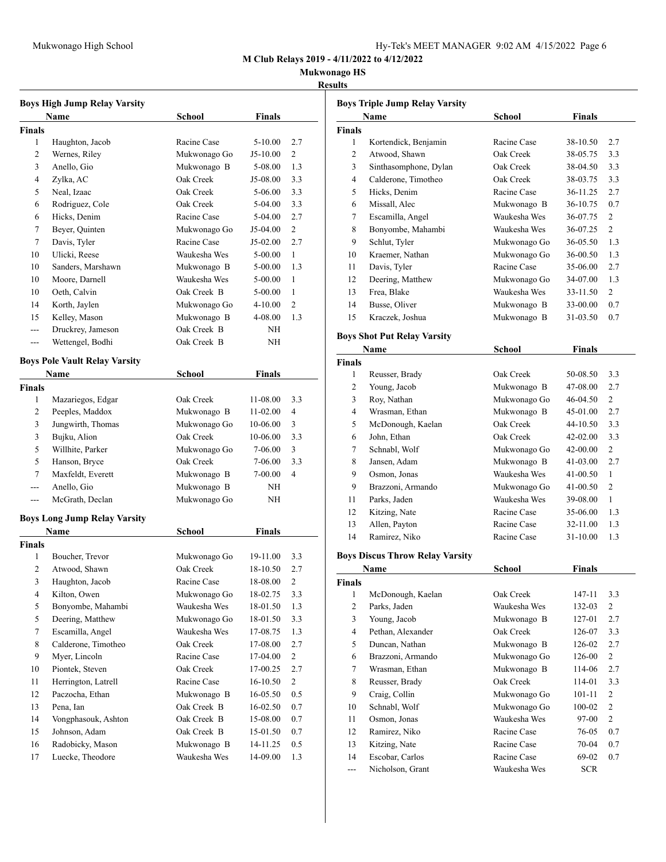## **Mukwonago HS**

#### **Results**

| <b>Boys High Jump Relay Varsity</b> |                                      |              |               |                |  |  |
|-------------------------------------|--------------------------------------|--------------|---------------|----------------|--|--|
|                                     | Name                                 | School       | <b>Finals</b> |                |  |  |
| <b>Finals</b>                       |                                      |              |               |                |  |  |
| 1                                   | Haughton, Jacob                      | Racine Case  | 5-10.00       | 2.7            |  |  |
| 2                                   | Wernes, Riley                        | Mukwonago Go | $J5-10.00$    | 2              |  |  |
| 3                                   | Anello, Gio                          | Mukwonago B  | 5-08.00       | 1.3            |  |  |
| 4                                   | Zylka, AC                            | Oak Creek    | J5-08.00      | 3.3            |  |  |
| 5                                   | Neal, Izaac                          | Oak Creek    | 5-06.00       | 3.3            |  |  |
| 6                                   | Rodriguez, Cole                      | Oak Creek    | 5-04.00       | 3.3            |  |  |
| 6                                   | Hicks, Denim                         | Racine Case  | 5-04.00       | 2.7            |  |  |
| 7                                   | Beyer, Quinten                       | Mukwonago Go | J5-04.00      | 2              |  |  |
| 7                                   | Davis, Tyler                         | Racine Case  | J5-02.00      | 2.7            |  |  |
| 10                                  | Ulicki, Reese                        | Waukesha Wes | 5-00.00       | 1              |  |  |
| 10                                  | Sanders, Marshawn                    | Mukwonago B  | 5-00.00       | 1.3            |  |  |
| 10                                  | Moore, Darnell                       | Waukesha Wes | 5-00.00       | 1              |  |  |
| 10                                  | Oeth, Calvin                         | Oak Creek B  | 5-00.00       | 1              |  |  |
| 14                                  | Korth, Jaylen                        | Mukwonago Go | 4-10.00       | $\overline{2}$ |  |  |
| 15                                  | Kelley, Mason                        | Mukwonago B  | 4-08.00       | 1.3            |  |  |
| ---                                 | Druckrey, Jameson                    | Oak Creek B  | NΗ            |                |  |  |
| $---$                               | Wettengel, Bodhi                     | Oak Creek B  | NΗ            |                |  |  |
|                                     |                                      |              |               |                |  |  |
|                                     | <b>Boys Pole Vault Relay Varsity</b> |              |               |                |  |  |
|                                     | Name                                 | School       | <b>Finals</b> |                |  |  |
| <b>Finals</b>                       |                                      |              |               |                |  |  |
| 1                                   | Mazariegos, Edgar                    | Oak Creek    | 11-08.00      | 3.3            |  |  |
| 2                                   | Peeples, Maddox                      | Mukwonago B  | 11-02.00      | 4              |  |  |
| 3                                   | Jungwirth, Thomas                    | Mukwonago Go | 10-06.00      | 3              |  |  |
| 3                                   | Bujku, Alion                         | Oak Creek    | 10-06.00      | 3.3            |  |  |
| 5                                   | Willhite, Parker                     | Mukwonago Go | 7-06.00       | 3              |  |  |
| 5                                   | Hanson, Bryce                        | Oak Creek    | 7-06.00       | 3.3            |  |  |
| 7                                   | Maxfeldt, Everett                    | Mukwonago B  | 7-00.00       | 4              |  |  |
| $---$                               | Anello, Gio                          | Mukwonago B  | ΝH            |                |  |  |
| ---                                 | McGrath, Declan                      | Mukwonago Go | NΗ            |                |  |  |
|                                     | <b>Boys Long Jump Relay Varsity</b>  |              |               |                |  |  |
|                                     | Name                                 | School       | Finals        |                |  |  |
| <b>Finals</b>                       |                                      |              |               |                |  |  |
| 1                                   | Boucher, Trevor                      | Mukwonago Go | 19-11.00      | 3.3            |  |  |
| 2                                   | Atwood, Shawn                        | Oak Creek    | 18-10.50      | 2.7            |  |  |
| 3                                   | Haughton, Jacob                      | Racine Case  | 18-08.00      | $\mathfrak{D}$ |  |  |
| 4                                   | Kilton, Owen                         | Mukwonago Go | 18-02.75      | 3.3            |  |  |
| 5                                   | Bonyombe, Mahambi                    | Waukesha Wes | 18-01.50      | 1.3            |  |  |
| 5                                   | Deering, Matthew                     | Mukwonago Go | 18-01.50      | 3.3            |  |  |
| 7                                   | Escamilla, Angel                     | Waukesha Wes | 17-08.75      | 1.3            |  |  |
| 8                                   | Calderone, Timotheo                  | Oak Creek    | 17-08.00      | 2.7            |  |  |
| 9                                   | Myer, Lincoln                        | Racine Case  | 17-04.00      | $\overline{c}$ |  |  |
| 10                                  | Piontek, Steven                      | Oak Creek    | 17-00.25      | 2.7            |  |  |
| 11                                  | Herrington, Latrell                  | Racine Case  | 16-10.50      | $\overline{c}$ |  |  |
| 12                                  | Paczocha, Ethan                      | Mukwonago B  | 16-05.50      | 0.5            |  |  |
| 13                                  | Pena, Ian                            | Oak Creek B  | 16-02.50      | 0.7            |  |  |
| 14                                  | Vongphasouk, Ashton                  | Oak Creek B  | 15-08.00      | 0.7            |  |  |
| 15                                  | Johnson, Adam                        | Oak Creek B  | 15-01.50      | 0.7            |  |  |
| 16                                  | Radobicky, Mason                     | Mukwonago B  | 14-11.25      | 0.5            |  |  |
| 17                                  | Luecke, Theodore                     | Waukesha Wes | 14-09.00      | 1.3            |  |  |
|                                     |                                      |              |               |                |  |  |

| <b>Boys Triple Jump Relay Varsity</b> |                                        |              |               |                         |  |  |
|---------------------------------------|----------------------------------------|--------------|---------------|-------------------------|--|--|
|                                       | Name                                   | School       | <b>Finals</b> |                         |  |  |
| Finals                                |                                        |              |               |                         |  |  |
| 1                                     | Kortendick, Benjamin                   | Racine Case  | 38-10.50      | 2.7                     |  |  |
| 2                                     | Atwood, Shawn                          | Oak Creek    | 38-05.75      | 3.3                     |  |  |
| 3                                     | Sinthasomphone, Dylan                  | Oak Creek    | 38-04.50      | 3.3                     |  |  |
| 4                                     | Calderone, Timotheo                    | Oak Creek    | 38-03.75      | 3.3                     |  |  |
| 5                                     | Hicks, Denim                           | Racine Case  | 36-11.25      | 2.7                     |  |  |
| 6                                     | Missall, Alec                          | Mukwonago B  | 36-10.75      | 0.7                     |  |  |
| 7                                     | Escamilla, Angel                       | Waukesha Wes | 36-07.75      | 2                       |  |  |
| 8                                     | Bonyombe, Mahambi                      | Waukesha Wes | 36-07.25      | $\overline{2}$          |  |  |
| 9                                     | Schlut, Tyler                          | Mukwonago Go | 36-05.50      | 1.3                     |  |  |
| 10                                    | Kraemer, Nathan                        | Mukwonago Go | 36-00.50      | 1.3                     |  |  |
| 11                                    | Davis, Tyler                           | Racine Case  | 35-06.00      | 2.7                     |  |  |
| 12                                    | Deering, Matthew                       | Mukwonago Go | 34-07.00      | 1.3                     |  |  |
| 13                                    | Frea, Blake                            | Waukesha Wes | 33-11.50      | 2                       |  |  |
| 14                                    | Busse, Oliver                          | Mukwonago B  | 33-00.00      | 0.7                     |  |  |
| 15                                    | Kraczek, Joshua                        | Mukwonago B  | 31-03.50      | 0.7                     |  |  |
|                                       |                                        |              |               |                         |  |  |
|                                       | <b>Boys Shot Put Relay Varsity</b>     |              |               |                         |  |  |
|                                       | Name                                   | School       | <b>Finals</b> |                         |  |  |
| <b>Finals</b>                         |                                        |              |               |                         |  |  |
| 1                                     | Reusser, Brady                         | Oak Creek    | 50-08.50      | 3.3                     |  |  |
| 2                                     | Young, Jacob                           | Mukwonago B  | 47-08.00      | 2.7                     |  |  |
| 3                                     | Roy, Nathan                            | Mukwonago Go | 46-04.50      | 2                       |  |  |
| 4                                     | Wrasman, Ethan                         | Mukwonago B  | 45-01.00      | 2.7                     |  |  |
| 5                                     | McDonough, Kaelan                      | Oak Creek    | 44-10.50      | 3.3                     |  |  |
| 6                                     | John, Ethan                            | Oak Creek    | 42-02.00      | 3.3                     |  |  |
| 7                                     | Schnabl, Wolf                          | Mukwonago Go | 42-00.00      | 2                       |  |  |
| 8                                     | Jansen, Adam                           | Mukwonago B  | 41-03.00      | 2.7                     |  |  |
| 9                                     | Osmon, Jonas                           | Waukesha Wes | 41-00.50      | 1                       |  |  |
| 9                                     | Brazzoni, Armando                      | Mukwonago Go | 41-00.50      | 2                       |  |  |
| 11                                    | Parks, Jaden                           | Waukesha Wes | 39-08.00      | 1                       |  |  |
| 12                                    | Kitzing, Nate                          | Racine Case  | 35-06.00      | 1.3                     |  |  |
| 13                                    | Allen, Payton                          | Racine Case  | 32-11.00      | 1.3                     |  |  |
| 14                                    | Ramirez, Niko                          | Racine Case  | 31-10.00      | 1.3                     |  |  |
|                                       |                                        |              |               |                         |  |  |
|                                       | <b>Boys Discus Throw Relay Varsity</b> |              |               |                         |  |  |
|                                       | Name                                   | School       | Finals        |                         |  |  |
| Finals                                |                                        |              |               |                         |  |  |
| 1                                     | McDonough, Kaelan                      | Oak Creek    | 147-11        | 3.3                     |  |  |
| $\sqrt{2}$                            | Parks, Jaden                           | Waukesha Wes | 132-03        | $\overline{c}$          |  |  |
| $\mathfrak{Z}$                        | Young, Jacob                           | Mukwonago B  | 127-01        | 2.7                     |  |  |
| $\overline{4}$                        | Pethan, Alexander                      | Oak Creek    | 126-07        | 3.3                     |  |  |
| 5                                     | Duncan, Nathan                         | Mukwonago B  | 126-02        | 2.7                     |  |  |
| 6                                     | Brazzoni, Armando                      | Mukwonago Go | 126-00        | $\overline{\mathbf{c}}$ |  |  |
| 7                                     | Wrasman, Ethan                         | Mukwonago B  | 114-06        | 2.7                     |  |  |
| 8                                     | Reusser, Brady                         | Oak Creek    | 114-01        | 3.3                     |  |  |
| 9                                     | Craig, Collin                          | Mukwonago Go | 101-11        | $\overline{\mathbf{c}}$ |  |  |
| 10                                    | Schnabl, Wolf                          | Mukwonago Go | 100-02        | 2                       |  |  |
| 11                                    | Osmon, Jonas                           | Waukesha Wes | 97-00         | $\overline{c}$          |  |  |
|                                       | Ramirez, Niko                          | Racine Case  | 76-05         | 0.7                     |  |  |
| 12                                    |                                        |              | 70-04         | 0.7                     |  |  |
| 13                                    | Kitzing, Nate                          | Racine Case  |               |                         |  |  |
| 14                                    | Escobar, Carlos                        | Racine Case  | 69-02         | 0.7                     |  |  |